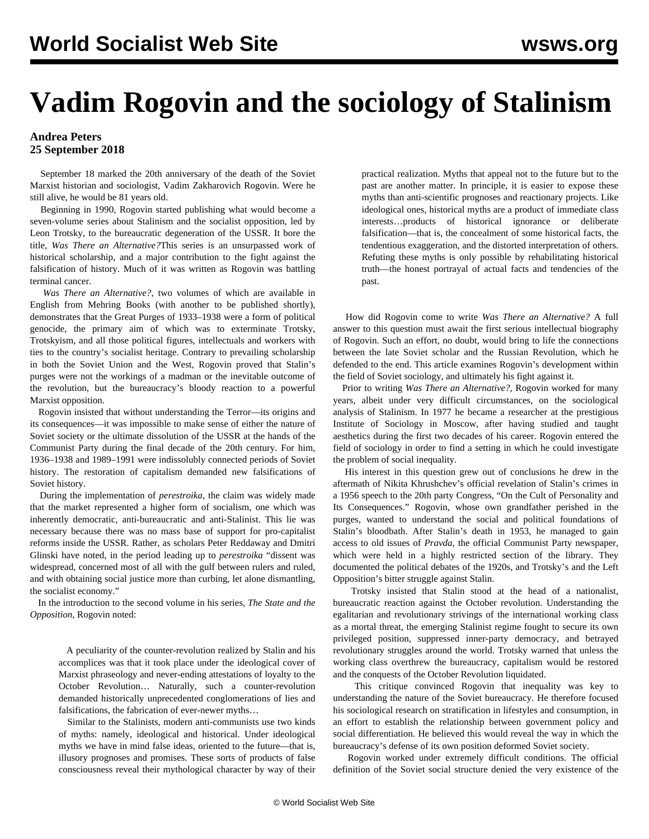## **Vadim Rogovin and the sociology of Stalinism**

## **Andrea Peters 25 September 2018**

 September 18 marked the 20th anniversary of the death of the Soviet Marxist historian and sociologist, Vadim Zakharovich Rogovin. Were he still alive, he would be 81 years old.

 Beginning in 1990*,* Rogovin started publishing what would become a seven-volume series about Stalinism and the socialist opposition, led by Leon Trotsky, to the bureaucratic degeneration of the USSR. It bore the title*, Was There an Alternative?*This series is an unsurpassed work of historical scholarship, and a major contribution to the fight against the falsification of history. Much of it was written as Rogovin was battling terminal cancer.

 *Was There an Alternative?*, two volumes of which are available in [English](http://mehring.com/from-mehring/vadim-rogovin.html) from Mehring Books (with another to be published shortly), demonstrates that the Great Purges of 1933–1938 were a form of political genocide, the primary aim of which was to exterminate Trotsky, Trotskyism, and all those political figures, intellectuals and workers with ties to the country's socialist heritage. Contrary to prevailing scholarship in both the Soviet Union and the West, Rogovin proved that Stalin's purges were not the workings of a madman or the inevitable outcome of the revolution, but the bureaucracy's bloody reaction to a powerful Marxist opposition.

 Rogovin insisted that without understanding the Terror—its origins and its consequences—it was impossible to make sense of either the nature of Soviet society or the ultimate dissolution of the USSR at the hands of the Communist Party during the final decade of the 20th century. For him, 1936–1938 and 1989–1991 were indissolubly connected periods of Soviet history. The restoration of capitalism demanded new falsifications of Soviet history.

 During the implementation of *perestroika*, the claim was widely made that the market represented a higher form of socialism, one which was inherently democratic, anti-bureaucratic and anti-Stalinist. This lie was necessary because there was no mass base of support for pro-capitalist reforms inside the USSR. Rather, as scholars Peter Reddaway and Dmitri Glinski have noted, in the period leading up to *perestroika* "dissent was widespread, concerned most of all with the gulf between rulers and ruled, and with obtaining social justice more than curbing, let alone dismantling, the socialist economy."

 In the introduction to the second volume in his series, *The State and the Opposition*, Rogovin noted:

 A peculiarity of the counter-revolution realized by Stalin and his accomplices was that it took place under the ideological cover of Marxist phraseology and never-ending attestations of loyalty to the October Revolution… Naturally, such a counter-revolution demanded historically unprecedented conglomerations of lies and falsifications, the fabrication of ever-newer myths…

 Similar to the Stalinists, modern anti-communists use two kinds of myths: namely, ideological and historical. Under ideological myths we have in mind false ideas, oriented to the future—that is, illusory prognoses and promises. These sorts of products of false consciousness reveal their mythological character by way of their practical realization. Myths that appeal not to the future but to the past are another matter. In principle, it is easier to expose these myths than anti-scientific prognoses and reactionary projects. Like ideological ones, historical myths are a product of immediate class interests…products of historical ignorance or deliberate falsification—that is, the concealment of some historical facts, the tendentious exaggeration, and the distorted interpretation of others. Refuting these myths is only possible by rehabilitating historical truth—the honest portrayal of actual facts and tendencies of the past.

 How did Rogovin come to write *Was There an Alternative?* A full answer to this question must await the first serious intellectual biography of Rogovin. Such an effort, no doubt, would bring to life the connections between the late Soviet scholar and the Russian Revolution, which he defended to the end. This article examines Rogovin's development within the field of Soviet sociology, and ultimately his fight against it.

 Prior to writing *Was There an Alternative?*, Rogovin worked for many years, albeit under very difficult circumstances, on the sociological analysis of Stalinism. In 1977 he became a researcher at the prestigious Institute of Sociology in Moscow, after having studied and taught aesthetics during the first two decades of his career. Rogovin entered the field of sociology in order to find a setting in which he could investigate the problem of social inequality.

 His interest in this question grew out of conclusions he drew in the aftermath of Nikita Khrushchev's official revelation of Stalin's crimes in a 1956 speech to the 20th party Congress, "On the Cult of Personality and Its Consequences." Rogovin, whose own grandfather perished in the purges, wanted to understand the social and political foundations of Stalin's bloodbath. After Stalin's death in 1953, he managed to gain access to old issues of *Pravda*, the official Communist Party newspaper, which were held in a highly restricted section of the library. They documented the political debates of the 1920s, and Trotsky's and the Left Opposition's bitter struggle against Stalin.

 Trotsky insisted that Stalin stood at the head of a nationalist, bureaucratic reaction against the October revolution. Understanding the egalitarian and revolutionary strivings of the international working class as a mortal threat, the emerging Stalinist regime fought to secure its own privileged position, suppressed inner-party democracy, and betrayed revolutionary struggles around the world. Trotsky warned that unless the working class overthrew the bureaucracy, capitalism would be restored and the conquests of the October Revolution liquidated.

 This critique convinced Rogovin that inequality was key to understanding the nature of the Soviet bureaucracy. He therefore focused his sociological research on stratification in lifestyles and consumption, in an effort to establish the relationship between government policy and social differentiation. He believed this would reveal the way in which the bureaucracy's defense of its own position deformed Soviet society.

 Rogovin worked under extremely difficult conditions. The official definition of the Soviet social structure denied the very existence of the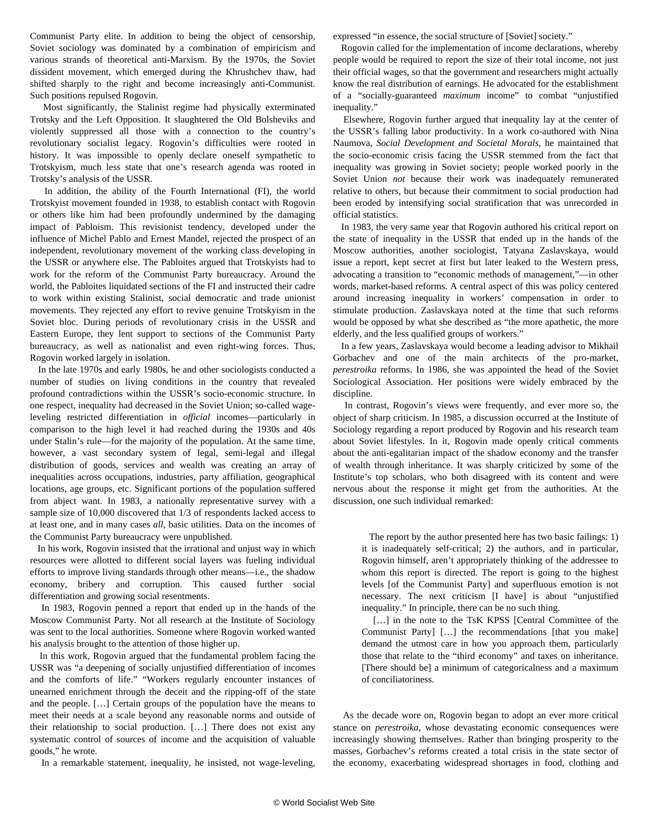Communist Party elite. In addition to being the object of censorship, Soviet sociology was dominated by a combination of empiricism and various strands of theoretical anti-Marxism. By the 1970s, the Soviet dissident movement, which emerged during the Khrushchev thaw, had shifted sharply to the right and become increasingly anti-Communist. Such positions repulsed Rogovin.

 Most significantly, the Stalinist regime had physically exterminated Trotsky and the Left Opposition. It slaughtered the Old Bolsheviks and violently suppressed all those with a connection to the country's revolutionary socialist legacy. Rogovin's difficulties were rooted in history. It was impossible to openly declare oneself sympathetic to Trotskyism, much less state that one's research agenda was rooted in Trotsky's analysis of the USSR.

 In addition, the ability of the Fourth International (FI), the world Trotskyist movement founded in 1938, to establish contact with Rogovin or others like him had been profoundly undermined by the damaging impact of Pabloism. This revisionist tendency, developed under the influence of Michel Pablo and Ernest Mandel, rejected the prospect of an independent, revolutionary movement of the working class developing in the USSR or anywhere else. The Pabloites argued that Trotskyists had to work for the reform of the Communist Party bureaucracy. Around the world, the Pabloites liquidated sections of the FI and instructed their cadre to work within existing Stalinist, social democratic and trade unionist movements. They rejected any effort to revive genuine Trotskyism in the Soviet bloc. During periods of revolutionary crisis in the USSR and Eastern Europe, they lent [support](/en/articles/2018/08/30/czec-a30.html) to sections of the Communist Party bureaucracy, as well as nationalist and even right-wing forces. Thus, Rogovin worked largely in isolation.

 In the late 1970s and early 1980s, he and other sociologists conducted a number of studies on living conditions in the country that revealed profound contradictions within the USSR's socio-economic structure. In one respect, inequality had decreased in the Soviet Union; so-called wageleveling restricted differentiation in *official* incomes—particularly in comparison to the high level it had reached during the 1930s and 40s under Stalin's rule—for the majority of the population. At the same time, however, a vast secondary system of legal, semi-legal and illegal distribution of goods, services and wealth was creating an array of inequalities across occupations, industries, party affiliation, geographical locations, age groups, etc. Significant portions of the population suffered from abject want. In 1983, a nationally representative survey with a sample size of 10,000 discovered that 1/3 of respondents lacked access to at least one, and in many cases *all*, basic utilities. Data on the incomes of the Communist Party bureaucracy were unpublished.

 In his work, Rogovin insisted that the irrational and unjust way in which resources were allotted to different social layers was fueling individual efforts to improve living standards through other means—i.e., the shadow economy, bribery and corruption. This caused further social differentiation and growing social resentments.

 In 1983, Rogovin penned a report that ended up in the hands of the Moscow Communist Party. Not all research at the Institute of Sociology was sent to the local authorities. Someone where Rogovin worked wanted his analysis brought to the attention of those higher up.

 In this work, Rogovin argued that the fundamental problem facing the USSR was "a deepening of socially unjustified differentiation of incomes and the comforts of life." "Workers regularly encounter instances of unearned enrichment through the deceit and the ripping-off of the state and the people. […] Certain groups of the population have the means to meet their needs at a scale beyond any reasonable norms and outside of their relationship to social production. […] There does not exist any systematic control of sources of income and the acquisition of valuable goods," he wrote.

In a remarkable statement, inequality, he insisted, not wage-leveling,

expressed "in essence, the social structure of [Soviet] society."

 Rogovin called for the implementation of income declarations, whereby people would be required to report the size of their total income, not just their official wages, so that the government and researchers might actually know the real distribution of earnings. He advocated for the establishment of a "socially-guaranteed *maximum* income" to combat "unjustified inequality."

 Elsewhere, Rogovin further argued that inequality lay at the center of the USSR's falling labor productivity. In a work co-authored with Nina Naumova, *Social Development and Societal Morals*, he maintained that the socio-economic crisis facing the USSR stemmed from the fact that inequality was growing in Soviet society; people worked poorly in the Soviet Union *not* because their work was inadequately remunerated relative to others, but because their commitment to social production had been eroded by intensifying social stratification that was unrecorded in official statistics.

 In 1983, the very same year that Rogovin authored his critical report on the state of inequality in the USSR that ended up in the hands of the Moscow authorities, another sociologist, Tatyana Zaslavskaya, would issue a report, kept secret at first but later leaked to the Western press, advocating a transition to "economic methods of management,"—in other words, market-based reforms. A central aspect of this was policy centered around increasing inequality in workers' compensation in order to stimulate production. Zaslavskaya noted at the time that such reforms would be opposed by what she described as "the more apathetic, the more elderly, and the less qualified groups of workers."

 In a few years, Zaslavskaya would become a leading advisor to Mikhail Gorbachev and one of the main architects of the pro-market, *perestroika* reforms. In 1986, she was appointed the head of the Soviet Sociological Association. Her positions were widely embraced by the discipline.

 In contrast, Rogovin's views were frequently, and ever more so, the object of sharp criticism. In 1985, a discussion occurred at the Institute of Sociology regarding a report produced by Rogovin and his research team about Soviet lifestyles. In it, Rogovin made openly critical comments about the anti-egalitarian impact of the shadow economy and the transfer of wealth through inheritance. It was sharply criticized by some of the Institute's top scholars, who both disagreed with its content and were nervous about the response it might get from the authorities. At the discussion, one such individual remarked:

 The report by the author presented here has two basic failings: 1) it is inadequately self-critical; 2) the authors, and in particular, Rogovin himself, aren't appropriately thinking of the addressee to whom this report is directed. The report is going to the highest levels [of the Communist Party] and superfluous emotion is not necessary. The next criticism [I have] is about "unjustified inequality." In principle, there can be no such thing.

[...] in the note to the TsK KPSS [Central Committee of the Communist Party] […] the recommendations [that you make] demand the utmost care in how you approach them, particularly those that relate to the "third economy" and taxes on inheritance. [There should be] a minimum of categoricalness and a maximum of conciliatoriness.

 As the decade wore on, Rogovin began to adopt an ever more critical stance on *perestroika*, whose devastating economic consequences were increasingly showing themselves. Rather than bringing prosperity to the masses, Gorbachev's reforms created a total crisis in the state sector of the economy, exacerbating widespread shortages in food, clothing and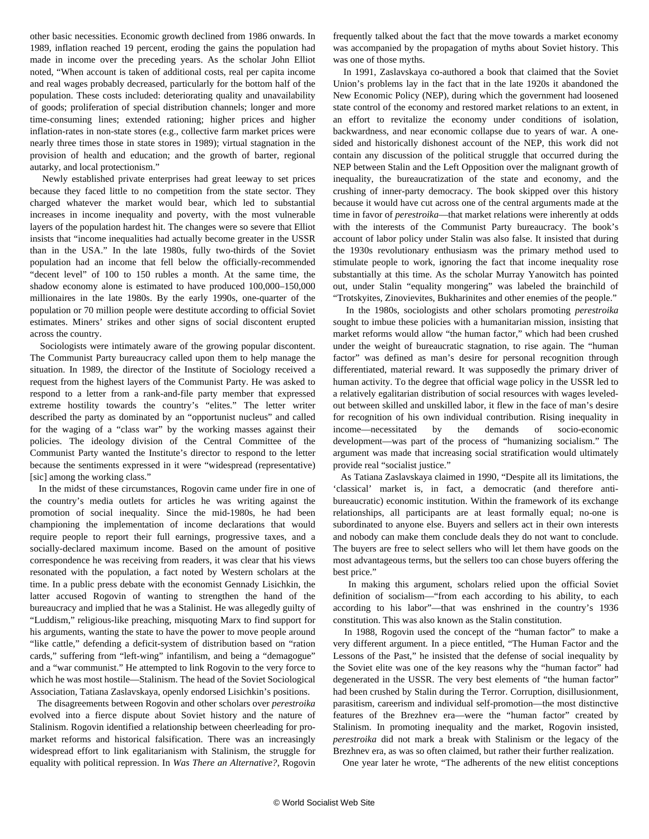other basic necessities. Economic growth declined from 1986 onwards. In 1989, inflation reached 19 percent, eroding the gains the population had made in income over the preceding years. As the scholar John Elliot noted, "When account is taken of additional costs, real per capita income and real wages probably decreased, particularly for the bottom half of the population. These costs included: deteriorating quality and unavailability of goods; proliferation of special distribution channels; longer and more time-consuming lines; extended rationing; higher prices and higher inflation-rates in non-state stores (e.g., collective farm market prices were nearly three times those in state stores in 1989); virtual stagnation in the provision of health and education; and the growth of barter, regional autarky, and local protectionism."

 Newly established private enterprises had great leeway to set prices because they faced little to no competition from the state sector. They charged whatever the market would bear, which led to substantial increases in income inequality and poverty, with the most vulnerable layers of the population hardest hit. The changes were so severe that Elliot insists that "income inequalities had actually become greater in the USSR than in the USA." In the late 1980s, fully two-thirds of the Soviet population had an income that fell below the officially-recommended "decent level" of 100 to 150 rubles a month. At the same time, the shadow economy alone is estimated to have produced 100,000–150,000 millionaires in the late 1980s. By the early 1990s, one-quarter of the population or 70 million people were destitute according to official Soviet estimates. Miners' strikes and other signs of social discontent erupted across the country.

 Sociologists were intimately aware of the growing popular discontent. The Communist Party bureaucracy called upon them to help manage the situation. In 1989, the director of the Institute of Sociology received a request from the highest layers of the Communist Party. He was asked to respond to a letter from a rank-and-file party member that expressed extreme hostility towards the country's "elites." The letter writer described the party as dominated by an "opportunist nucleus" and called for the waging of a "class war" by the working masses against their policies. The ideology division of the Central Committee of the Communist Party wanted the Institute's director to respond to the letter because the sentiments expressed in it were "widespread (representative) [sic] among the working class."

 In the midst of these circumstances, Rogovin came under fire in one of the country's media outlets for articles he was writing against the promotion of social inequality. Since the mid-1980s, he had been championing the implementation of income declarations that would require people to report their full earnings, progressive taxes, and a socially-declared maximum income. Based on the amount of positive correspondence he was receiving from readers, it was clear that his views resonated with the population, a fact noted by Western scholars at the time. In a public press debate with the economist Gennady Lisichkin, the latter accused Rogovin of wanting to strengthen the hand of the bureaucracy and implied that he was a Stalinist. He was allegedly guilty of "Luddism," religious-like preaching, misquoting Marx to find support for his arguments, wanting the state to have the power to move people around "like cattle," defending a deficit-system of distribution based on "ration cards," suffering from "left-wing" infantilism, and being a "demagogue" and a "war communist." He attempted to link Rogovin to the very force to which he was most hostile—Stalinism. The head of the Soviet Sociological Association, Tatiana Zaslavskaya, openly endorsed Lisichkin's positions.

 The disagreements between Rogovin and other scholars over *perestroika* evolved into a fierce dispute about Soviet history and the nature of Stalinism. Rogovin identified a relationship between cheerleading for promarket reforms and historical falsification. There was an increasingly widespread effort to link egalitarianism with Stalinism, the struggle for equality with political repression. In *Was There an Alternative?*, Rogovin frequently talked about the fact that the move towards a market economy was accompanied by the propagation of myths about Soviet history. This was one of those myths.

 In 1991, Zaslavskaya co-authored a book that claimed that the Soviet Union's problems lay in the fact that in the late 1920s it abandoned the New Economic Policy (NEP), during which the government had loosened state control of the economy and restored market relations to an extent, in an effort to revitalize the economy under conditions of isolation, backwardness, and near economic collapse due to years of war. A onesided and historically dishonest account of the NEP, this work did not contain any discussion of the political struggle that occurred during the NEP between Stalin and the Left Opposition over the malignant growth of inequality, the bureaucratization of the state and economy, and the crushing of inner-party democracy. The book skipped over this history because it would have cut across one of the central arguments made at the time in favor of *perestroika*—that market relations were inherently at odds with the interests of the Communist Party bureaucracy. The book's account of labor policy under Stalin was also false. It insisted that during the 1930s revolutionary enthusiasm was the primary method used to stimulate people to work, ignoring the fact that income inequality rose substantially at this time. As the scholar Murray Yanowitch has pointed out, under Stalin "equality mongering" was labeled the brainchild of "Trotskyites, Zinovievites, Bukharinites and other enemies of the people."

 In the 1980s, sociologists and other scholars promoting *perestroika* sought to imbue these policies with a humanitarian mission, insisting that market reforms would allow "the human factor," which had been crushed under the weight of bureaucratic stagnation, to rise again. The "human factor" was defined as man's desire for personal recognition through differentiated, material reward. It was supposedly the primary driver of human activity. To the degree that official wage policy in the USSR led to a relatively egalitarian distribution of social resources with wages leveledout between skilled and unskilled labor, it flew in the face of man's desire for recognition of his own individual contribution. Rising inequality in income—necessitated by the demands of socio-economic development—was part of the process of "humanizing socialism." The argument was made that increasing social stratification would ultimately provide real "socialist justice."

 As Tatiana Zaslavskaya claimed in 1990, "Despite all its limitations, the 'classical' market is, in fact, a democratic (and therefore antibureaucratic) economic institution. Within the framework of its exchange relationships, all participants are at least formally equal; no-one is subordinated to anyone else. Buyers and sellers act in their own interests and nobody can make them conclude deals they do not want to conclude. The buyers are free to select sellers who will let them have goods on the most advantageous terms, but the sellers too can chose buyers offering the best price."

 In making this argument, scholars relied upon the official Soviet definition of socialism—"from each according to his ability, to each according to his labor"—that was enshrined in the country's 1936 constitution. This was also known as the Stalin constitution.

 In 1988, Rogovin used the concept of the "human factor" to make a very different argument. In a piece entitled, "The Human Factor and the Lessons of the Past," he insisted that the defense of social inequality by the Soviet elite was one of the key reasons why the "human factor" had degenerated in the USSR. The very best elements of "the human factor" had been crushed by Stalin during the Terror. Corruption, disillusionment, parasitism, careerism and individual self-promotion—the most distinctive features of the Brezhnev era—were the "human factor" created by Stalinism. In promoting inequality and the market, Rogovin insisted, *perestroika* did not mark a break with Stalinism or the legacy of the Brezhnev era, as was so often claimed, but rather their further realization.

One year later he wrote, "The adherents of the new elitist conceptions